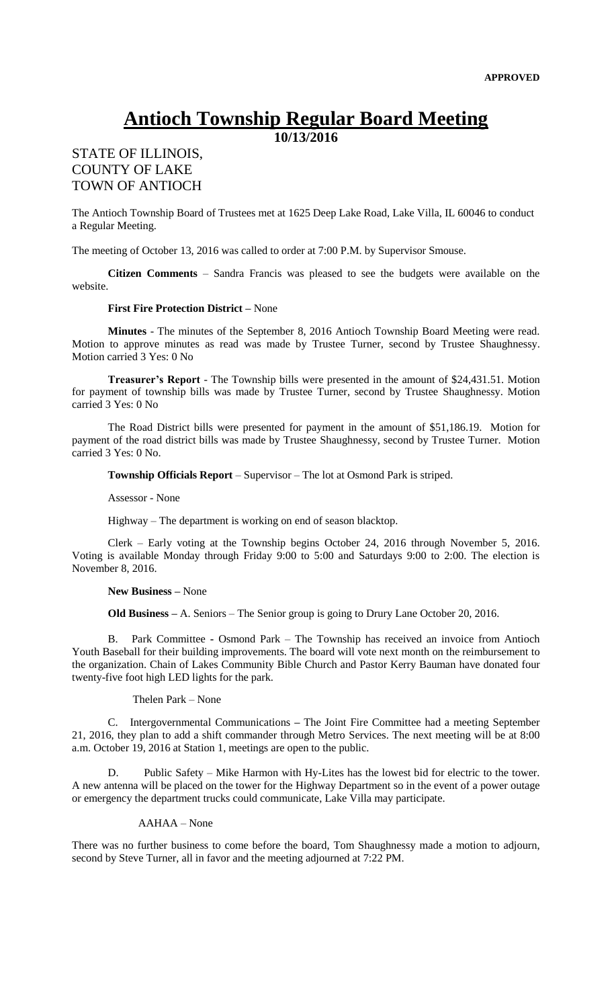# **Antioch Township Regular Board Meeting**

**10/13/2016**

## STATE OF ILLINOIS, COUNTY OF LAKE TOWN OF ANTIOCH

The Antioch Township Board of Trustees met at 1625 Deep Lake Road, Lake Villa, IL 60046 to conduct a Regular Meeting.

The meeting of October 13, 2016 was called to order at 7:00 P.M. by Supervisor Smouse.

**Citizen Comments** – Sandra Francis was pleased to see the budgets were available on the website.

#### **First Fire Protection District –** None

**Minutes** - The minutes of the September 8, 2016 Antioch Township Board Meeting were read. Motion to approve minutes as read was made by Trustee Turner, second by Trustee Shaughnessy. Motion carried 3 Yes: 0 No

**Treasurer's Report** - The Township bills were presented in the amount of \$24,431.51. Motion for payment of township bills was made by Trustee Turner, second by Trustee Shaughnessy. Motion carried 3 Yes: 0 No

The Road District bills were presented for payment in the amount of \$51,186.19. Motion for payment of the road district bills was made by Trustee Shaughnessy, second by Trustee Turner. Motion carried 3 Yes: 0 No.

**Township Officials Report** – Supervisor – The lot at Osmond Park is striped.

Assessor - None

Highway – The department is working on end of season blacktop.

Clerk – Early voting at the Township begins October 24, 2016 through November 5, 2016. Voting is available Monday through Friday 9:00 to 5:00 and Saturdays 9:00 to 2:00. The election is November 8, 2016.

#### **New Business –** None

**Old Business –** A. Seniors – The Senior group is going to Drury Lane October 20, 2016.

B. Park Committee **-** Osmond Park – The Township has received an invoice from Antioch Youth Baseball for their building improvements. The board will vote next month on the reimbursement to the organization. Chain of Lakes Community Bible Church and Pastor Kerry Bauman have donated four twenty-five foot high LED lights for the park.

Thelen Park – None

C. Intergovernmental Communications **–** The Joint Fire Committee had a meeting September 21, 2016, they plan to add a shift commander through Metro Services. The next meeting will be at 8:00 a.m. October 19, 2016 at Station 1, meetings are open to the public.

Public Safety – Mike Harmon with Hy-Lites has the lowest bid for electric to the tower. A new antenna will be placed on the tower for the Highway Department so in the event of a power outage or emergency the department trucks could communicate, Lake Villa may participate.

### AAHAA – None

There was no further business to come before the board, Tom Shaughnessy made a motion to adjourn, second by Steve Turner, all in favor and the meeting adjourned at 7:22 PM.